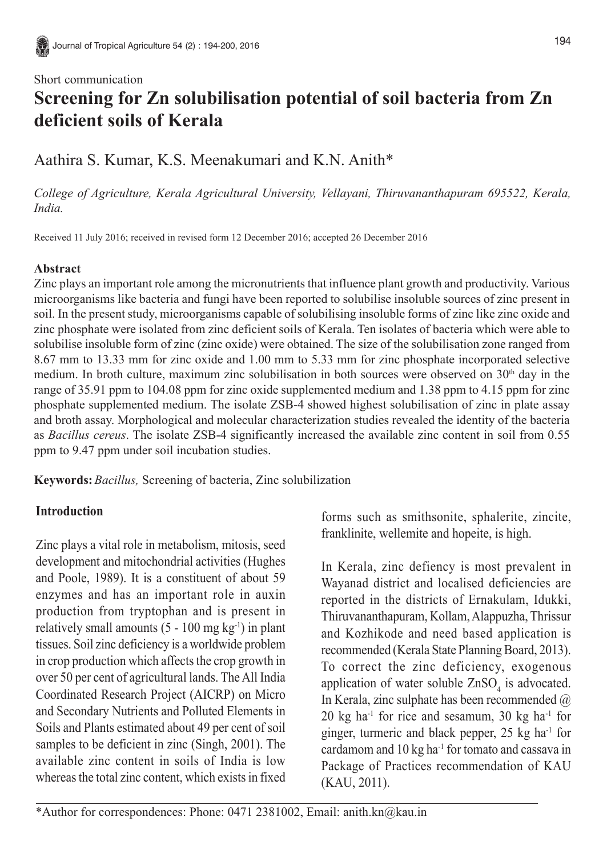## Short communication **Screening for Zn solubilisation potential of soil bacteria from Zn deficient soils of Kerala**

# Aathira S. Kumar, K.S. Meenakumari and K.N. Anith\*

*College of Agriculture, Kerala Agricultural University, Vellayani, Thiruvananthapuram 695522, Kerala, India.*

Received 11 July 2016; received in revised form 12 December 2016; accepted 26 December 2016

### **Abstract**

Zinc plays an important role among the micronutrients that influence plant growth and productivity. Various microorganisms like bacteria and fungi have been reported to solubilise insoluble sources of zinc present in soil. In the present study, microorganisms capable of solubilising insoluble forms of zinc like zinc oxide and zinc phosphate were isolated from zinc deficient soils of Kerala. Ten isolates of bacteria which were able to solubilise insoluble form of zinc (zinc oxide) were obtained. The size of the solubilisation zone ranged from 8.67 mm to 13.33 mm for zinc oxide and 1.00 mm to 5.33 mm for zinc phosphate incorporated selective medium. In broth culture, maximum zinc solubilisation in both sources were observed on  $30<sup>th</sup>$  day in the range of 35.91 ppm to 104.08 ppm for zinc oxide supplemented medium and 1.38 ppm to 4.15 ppm for zinc phosphate supplemented medium. The isolate ZSB-4 showed highest solubilisation of zinc in plate assay and broth assay. Morphological and molecular characterization studies revealed the identity of the bacteria as *Bacillus cereus*. The isolate ZSB-4 significantly increased the available zinc content in soil from 0.55 ppm to 9.47 ppm under soil incubation studies.

**Keywords:***Bacillus,* Screening of bacteria, Zinc solubilization

### **Introduction**

Zinc plays a vital role in metabolism, mitosis, seed development and mitochondrial activities (Hughes and Poole, 1989). It is a constituent of about 59 enzymes and has an important role in auxin production from tryptophan and is present in relatively small amounts  $(5 - 100 \text{ mg kg}^{-1})$  in plant tissues. Soil zinc deficiency is a worldwide problem in crop production which affects the crop growth in over 50 per cent of agricultural lands. The All India Coordinated Research Project (AICRP) on Micro and Secondary Nutrients and Polluted Elements in Soils and Plants estimated about 49 per cent of soil samples to be deficient in zinc (Singh, 2001). The available zinc content in soils of India is low whereas the total zinc content, which exists in fixed forms such as smithsonite, sphalerite, zincite, franklinite, wellemite and hopeite, is high.

In Kerala, zinc defiency is most prevalent in Wayanad district and localised deficiencies are reported in the districts of Ernakulam, Idukki, Thiruvananthapuram, Kollam, Alappuzha, Thrissur and Kozhikode and need based application is recommended (Kerala State Planning Board, 2013). To correct the zinc deficiency, exogenous application of water soluble  $ZnSO<sub>4</sub>$  is advocated. In Kerala, zinc sulphate has been recommended  $(a)$  $20 \text{ kg}$  ha<sup>-1</sup> for rice and sesamum,  $30 \text{ kg}$  ha<sup>-1</sup> for ginger, turmeric and black pepper, 25 kg ha-1 for cardamom and 10 kg ha-1 for tomato and cassava in Package of Practices recommendation of KAU (KAU, 2011).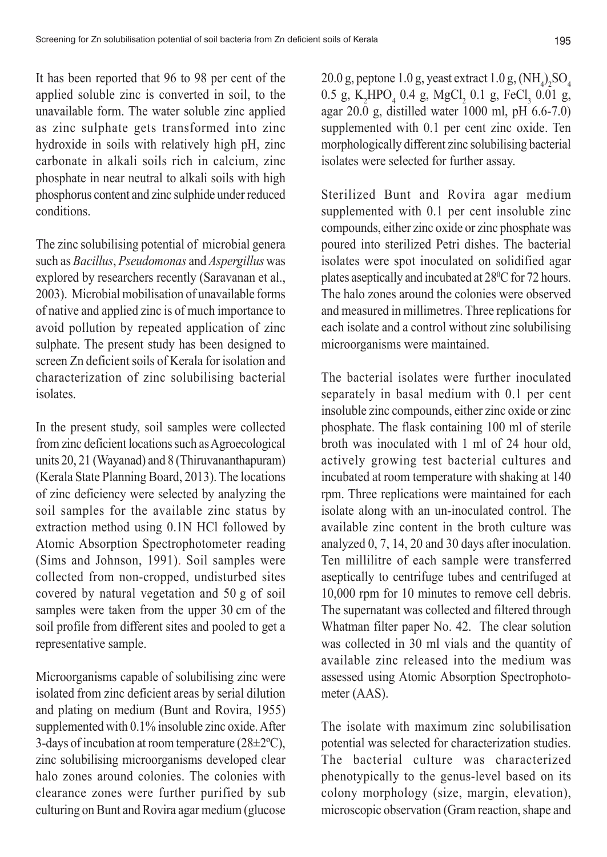It has been reported that 96 to 98 per cent of the applied soluble zinc is converted in soil, to the unavailable form. The water soluble zinc applied as zinc sulphate gets transformed into zinc hydroxide in soils with relatively high pH, zinc carbonate in alkali soils rich in calcium, zinc phosphate in near neutral to alkali soils with high phosphorus content and zinc sulphide under reduced conditions.

The zinc solubilising potential of microbial genera such as *Bacillus*, *Pseudomonas* and *Aspergillus* was explored by researchers recently (Saravanan et al., 2003). Microbial mobilisation of unavailable forms of native and applied zinc is of much importance to avoid pollution by repeated application of zinc sulphate. The present study has been designed to screen Zn deficient soils of Kerala for isolation and characterization of zinc solubilising bacterial isolates.

In the present study, soil samples were collected from zinc deficient locations such as Agroecological units 20, 21 (Wayanad) and 8 (Thiruvananthapuram) (Kerala State Planning Board, 2013). The locations of zinc deficiency were selected by analyzing the soil samples for the available zinc status by extraction method using 0.1N HCl followed by Atomic Absorption Spectrophotometer reading (Sims and Johnson, 1991). Soil samples were collected from non-cropped, undisturbed sites covered by natural vegetation and 50 g of soil samples were taken from the upper 30 cm of the soil profile from different sites and pooled to get a representative sample.

Microorganisms capable of solubilising zinc were isolated from zinc deficient areas by serial dilution and plating on medium (Bunt and Rovira, 1955) supplemented with 0.1% insoluble zinc oxide. After 3-days of incubation at room temperature  $(28\pm2°C)$ , zinc solubilising microorganisms developed clear halo zones around colonies. The colonies with clearance zones were further purified by sub culturing on Bunt and Rovira agar medium (glucose

20.0 g, peptone 1.0 g, yeast extract 1.0 g,  $(\text{NH}_4)_2\text{SO}_4$ 0.5 g, K<sub>2</sub>HPO<sub>4</sub> 0.4 g, MgCl<sub>2</sub> 0.1 g, FeCl<sub>3</sub> 0.01 g, agar  $20.\overline{0}$  g, distilled water 1000 ml, pH  $6.6-7.0$ ) supplemented with 0.1 per cent zinc oxide. Ten morphologically different zinc solubilising bacterial isolates were selected for further assay.

Sterilized Bunt and Rovira agar medium supplemented with 0.1 per cent insoluble zinc compounds, either zinc oxide or zinc phosphate was poured into sterilized Petri dishes. The bacterial isolates were spot inoculated on solidified agar plates aseptically and incubated at 28<sup>o</sup>C for 72 hours. The halo zones around the colonies were observed and measured in millimetres. Three replications for each isolate and a control without zinc solubilising microorganisms were maintained.

The bacterial isolates were further inoculated separately in basal medium with 0.1 per cent insoluble zinc compounds, either zinc oxide or zinc phosphate. The flask containing 100 ml of sterile broth was inoculated with 1 ml of 24 hour old, actively growing test bacterial cultures and incubated at room temperature with shaking at 140 rpm. Three replications were maintained for each isolate along with an un-inoculated control. The available zinc content in the broth culture was analyzed 0, 7, 14, 20 and 30 days after inoculation. Ten millilitre of each sample were transferred aseptically to centrifuge tubes and centrifuged at 10,000 rpm for 10 minutes to remove cell debris. The supernatant was collected and filtered through Whatman filter paper No. 42. The clear solution was collected in 30 ml vials and the quantity of available zinc released into the medium was assessed using Atomic Absorption Spectrophotometer (AAS).

The isolate with maximum zinc solubilisation potential was selected for characterization studies. The bacterial culture was characterized phenotypically to the genus-level based on its colony morphology (size, margin, elevation), microscopic observation (Gram reaction, shape and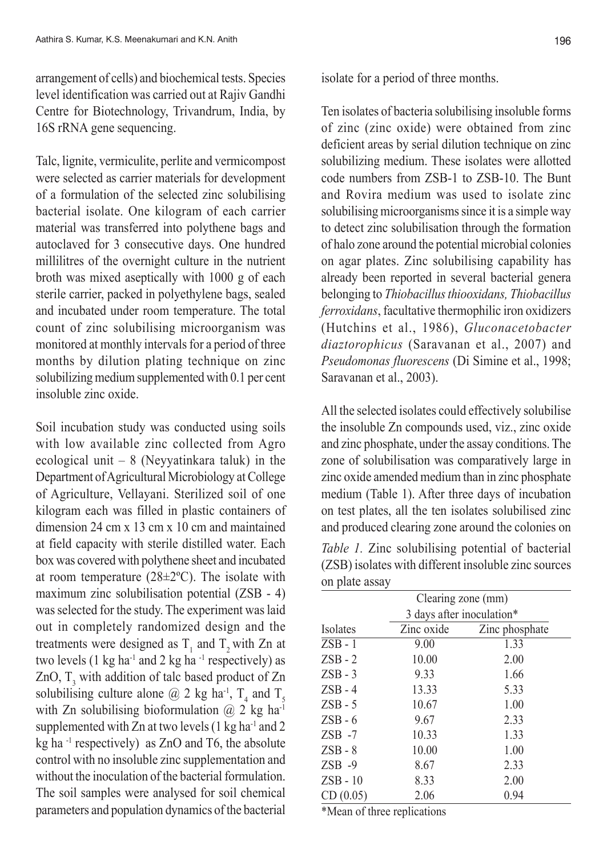arrangement of cells) and biochemical tests. Species level identification was carried out at Rajiv Gandhi Centre for Biotechnology, Trivandrum, India, by 16S rRNA gene sequencing.

Talc, lignite, vermiculite, perlite and vermicompost were selected as carrier materials for development of a formulation of the selected zinc solubilising bacterial isolate. One kilogram of each carrier material was transferred into polythene bags and autoclaved for 3 consecutive days. One hundred millilitres of the overnight culture in the nutrient broth was mixed aseptically with 1000 g of each sterile carrier, packed in polyethylene bags, sealed and incubated under room temperature. The total count of zinc solubilising microorganism was monitored at monthly intervals for a period of three months by dilution plating technique on zinc solubilizing medium supplemented with 0.1 per cent insoluble zinc oxide.

Soil incubation study was conducted using soils with low available zinc collected from Agro ecological unit  $-8$  (Neyyatinkara taluk) in the Department of Agricultural Microbiology at College of Agriculture, Vellayani. Sterilized soil of one kilogram each was filled in plastic containers of dimension 24 cm x 13 cm x 10 cm and maintained at field capacity with sterile distilled water. Each box was covered with polythene sheet and incubated at room temperature  $(28\pm2°C)$ . The isolate with maximum zinc solubilisation potential (ZSB - 4) was selected for the study. The experiment was laid out in completely randomized design and the treatments were designed as  $T_1$  and  $T_2$  with Zn at two levels  $(1 \text{ kg ha}^{-1}$  and  $2 \text{ kg ha}^{-1}$  respectively) as ZnO,  $T_3$  with addition of talc based product of Zn solubilising culture alone  $@$  2 kg ha<sup>-1</sup>,  $T_4$  and  $T_5$ with Zn solubilising bioformulation  $\omega$  2 kg ha<sup>-1</sup> supplemented with  $Zn$  at two levels (1 kg ha<sup>-1</sup> and 2 kg ha<sup>-1</sup> respectively) as ZnO and T6, the absolute control with no insoluble zinc supplementation and without the inoculation of the bacterial formulation. The soil samples were analysed for soil chemical parameters and population dynamics of the bacterial

isolate for a period of three months.

Ten isolates of bacteria solubilising insoluble forms of zinc (zinc oxide) were obtained from zinc deficient areas by serial dilution technique on zinc solubilizing medium. These isolates were allotted code numbers from ZSB-1 to ZSB-10. The Bunt and Rovira medium was used to isolate zinc solubilising microorganisms since it is a simple way to detect zinc solubilisation through the formation of halo zone around the potential microbial colonies on agar plates. Zinc solubilising capability has already been reported in several bacterial genera belonging to *Thiobacillus thiooxidans, Thiobacillus ferroxidans*, facultative thermophilic iron oxidizers (Hutchins et al., 1986), *Gluconacetobacter diaztorophicus* (Saravanan et al., 2007) and *Pseudomonas fluorescens* (Di Simine et al., 1998; Saravanan et al., 2003).

All the selected isolates could effectively solubilise the insoluble Zn compounds used, viz., zinc oxide and zinc phosphate, under the assay conditions. The zone of solubilisation was comparatively large in zinc oxide amended medium than in zinc phosphate medium (Table 1). After three days of incubation on test plates, all the ten isolates solubilised zinc and produced clearing zone around the colonies on

*Table 1.* Zinc solubilising potential of bacterial (ZSB) isolates with different insoluble zinc sources on plate assay

|            | Clearing zone (mm)        |                |  |  |  |  |  |
|------------|---------------------------|----------------|--|--|--|--|--|
|            | 3 days after inoculation* |                |  |  |  |  |  |
| Isolates   | Zinc oxide                | Zinc phosphate |  |  |  |  |  |
| $ZSB - 1$  | 9.00                      | 1.33           |  |  |  |  |  |
| $ZSB - 2$  | 10.00                     | 2.00           |  |  |  |  |  |
| $ZSB - 3$  | 9.33                      | 1.66           |  |  |  |  |  |
| $ZSB - 4$  | 13.33                     | 5.33           |  |  |  |  |  |
| $ZSB - 5$  | 10.67                     | 1.00           |  |  |  |  |  |
| $ZSB - 6$  | 9.67                      | 2.33           |  |  |  |  |  |
| $ZSB -7$   | 10.33                     | 1.33           |  |  |  |  |  |
| $ZSB - 8$  | 10.00                     | 1.00           |  |  |  |  |  |
| $ZSB -9$   | 8.67                      | 2.33           |  |  |  |  |  |
| $ZSB - 10$ | 8.33                      | 2.00           |  |  |  |  |  |
| CD(0.05)   | 2.06                      | 0.94           |  |  |  |  |  |

\*Mean of three replications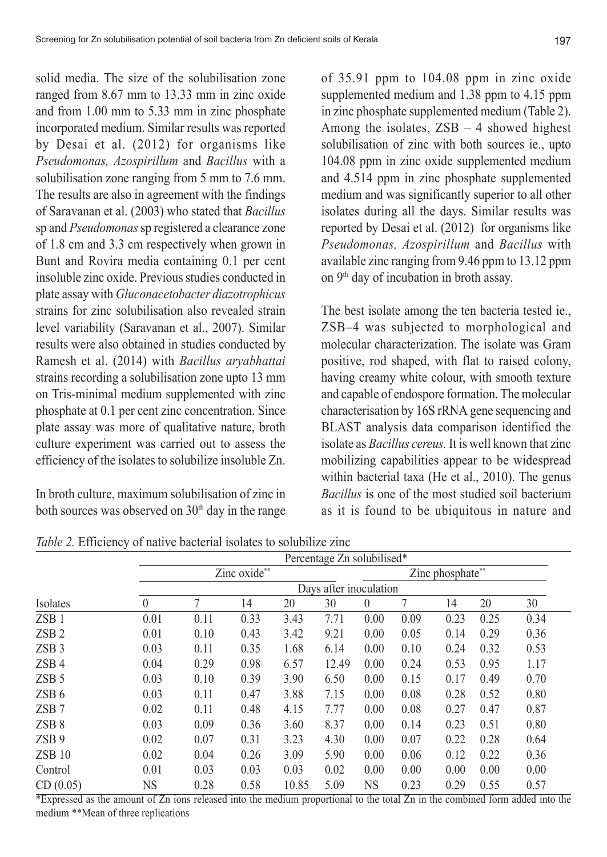solid media. The size of the solubilisation zone ranged from 8.67 mm to 13.33 mm in zinc oxide and from 1.00 mm to 5.33 mm in zinc phosphate incorporated medium. Similar results was reported by Desai et al. (2012) for organisms like *Pseudomonas, Azospirillum* and *Bacillus* with a solubilisation zone ranging from 5 mm to 7.6 mm. The results are also in agreement with the findings of Saravanan et al. (2003) who stated that *Bacillus* sp and *Pseudomonas* sp registered a clearance zone of 1.8 cm and 3.3 cm respectively when grown in Bunt and Rovira media containing 0.1 per cent insoluble zinc oxide. Previous studies conducted in plate assay with *Gluconacetobacter diazotrophicus* strains for zinc solubilisation also revealed strain level variability (Saravanan et al., 2007). Similar results were also obtained in studies conducted by Ramesh et al. (2014) with *Bacillus aryabhattai* strains recording a solubilisation zone upto 13 mm on Tris-minimal medium supplemented with zinc phosphate at 0.1 per cent zinc concentration. Since plate assay was more of qualitative nature, broth culture experiment was carried out to assess the efficiency of the isolates to solubilize insoluble Zn.

In broth culture, maximum solubilisation of zinc in both sources was observed on 30<sup>th</sup> day in the range

of 35.91 ppm to 104.08 ppm in zinc oxide supplemented medium and 1.38 ppm to 4.15 ppm in zinc phosphate supplemented medium (Table 2). Among the isolates,  $ZSB - 4$  showed highest solubilisation of zinc with both sources ie., upto 104.08 ppm in zinc oxide supplemented medium and 4.514 ppm in zinc phosphate supplemented medium and was significantly superior to all other isolates during all the days. Similar results was reported by Desai et al. (2012) for organisms like *Pseudomonas, Azospirillum* and *Bacillus* with available zinc ranging from 9.46 ppm to 13.12 ppm on 9<sup>th</sup> day of incubation in broth assay.

The best isolate among the ten bacteria tested ie., ZSB–4 was subjected to morphological and molecular characterization. The isolate was Gram positive, rod shaped, with flat to raised colony, having creamy white colour, with smooth texture and capable of endospore formation. The molecular characterisation by 16S rRNA gene sequencing and BLAST analysis data comparison identified the isolate as *Bacillus cereus.* It is well known that zinc mobilizing capabilities appear to be widespread within bacterial taxa (He et al., 2010). The genus *Bacillus* is one of the most studied soil bacterium as it is found to be ubiquitous in nature and

|                  |                        | Percentage Zn solubilised* |      |       |       |           |                  |      |      |      |  |  |
|------------------|------------------------|----------------------------|------|-------|-------|-----------|------------------|------|------|------|--|--|
|                  |                        | Zinc oxide**               |      |       |       |           | Zinc phosphate** |      |      |      |  |  |
|                  | Days after inoculation |                            |      |       |       |           |                  |      |      |      |  |  |
| Isolates         | $\theta$               | 7                          | 14   | 20    | 30    | $\theta$  |                  | 14   | 20   | 30   |  |  |
| ZSB <sub>1</sub> | 0.01                   | 0.11                       | 0.33 | 3.43  | 7.71  | 0.00      | 0.09             | 0.23 | 0.25 | 0.34 |  |  |
| ZSB <sub>2</sub> | 0.01                   | 0.10                       | 0.43 | 3.42  | 9.21  | 0.00      | 0.05             | 0.14 | 0.29 | 0.36 |  |  |
| ZSB <sub>3</sub> | 0.03                   | 0.11                       | 0.35 | 1.68  | 6.14  | 0.00      | 0.10             | 0.24 | 0.32 | 0.53 |  |  |
| ZSB <sub>4</sub> | 0.04                   | 0.29                       | 0.98 | 6.57  | 12.49 | 0.00      | 0.24             | 0.53 | 0.95 | 1.17 |  |  |
| ZSB <sub>5</sub> | 0.03                   | 0.10                       | 0.39 | 3.90  | 6.50  | 0.00      | 0.15             | 0.17 | 0.49 | 0.70 |  |  |
| ZSB <sub>6</sub> | 0.03                   | 0.11                       | 0.47 | 3.88  | 7.15  | 0.00      | 0.08             | 0.28 | 0.52 | 0.80 |  |  |
| $ZSB$ 7          | 0.02                   | 0.11                       | 0.48 | 4.15  | 7.77  | 0.00      | 0.08             | 0.27 | 0.47 | 0.87 |  |  |
| ZSB <sub>8</sub> | 0.03                   | 0.09                       | 0.36 | 3.60  | 8.37  | 0.00      | 0.14             | 0.23 | 0.51 | 0.80 |  |  |
| ZSB <sub>9</sub> | 0.02                   | 0.07                       | 0.31 | 3.23  | 4.30  | 0.00      | 0.07             | 0.22 | 0.28 | 0.64 |  |  |
| <b>ZSB 10</b>    | 0.02                   | 0.04                       | 0.26 | 3.09  | 5.90  | 0.00      | 0.06             | 0.12 | 0.22 | 0.36 |  |  |
| Control          | 0.01                   | 0.03                       | 0.03 | 0.03  | 0.02  | 0.00      | 0.00             | 0.00 | 0.00 | 0.00 |  |  |
| CD(0.05)         | NS                     | 0.28                       | 0.58 | 10.85 | 5.09  | <b>NS</b> | 0.23             | 0.29 | 0.55 | 0.57 |  |  |

*Table 2.* Efficiency of native bacterial isolates to solubilize zinc

\*Expressed as the amount of Zn ions released into the medium proportional to the total Zn in the combined form added into the medium \*\*Mean of three replications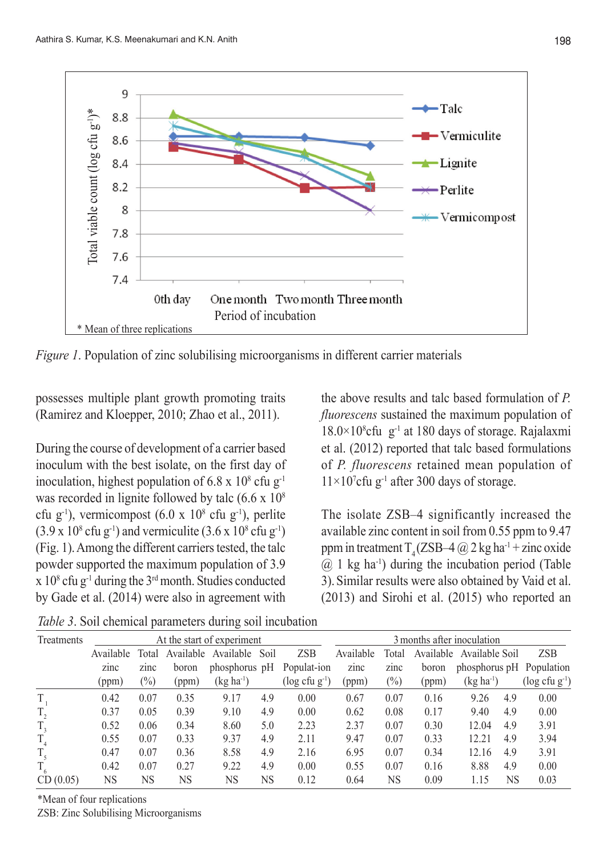

*Figure 1*. Population of zinc solubilising microorganisms in different carrier materials

possesses multiple plant growth promoting traits (Ramirez and Kloepper, 2010; Zhao et al., 2011).

During the course of development of a carrier based inoculum with the best isolate, on the first day of inoculation, highest population of 6.8 x  $10^8$  cfu g<sup>-1</sup> was recorded in lignite followed by talc  $(6.6 \times 10^8)$ cfu g<sup>-1</sup>), vermicompost  $(6.0 \times 10^8 \text{ cftu g}^{-1})$ , perlite  $(3.9 \times 10^8 \text{ cftg}^{-1})$  and vermiculite  $(3.6 \times 10^8 \text{ cftg}^{-1})$ (Fig. 1). Among the different carriers tested, the talc powder supported the maximum population of 3.9  $\ge 10^8$  cfu g<sup>-1</sup> during the 3<sup>rd</sup> month. Studies conducted by Gade et al. (2014) were also in agreement with

the above results and talc based formulation of *P. fluorescens* sustained the maximum population of  $18.0 \times 10^8$ cfu g<sup>-1</sup> at 180 days of storage. Rajalaxmi et al. (2012) reported that talc based formulations of *P. fluorescens* retained mean population of  $11\times10^{7}$ cfu g<sup>-1</sup> after 300 days of storage.

The isolate ZSB–4 significantly increased the available zinc content in soil from 0.55 ppm to 9.47 ppm in treatment  $T<sub>4</sub>(ZSB-4 @ 2 kg ha<sup>-1</sup> + zinc oxide)$  $(a)$  1 kg ha<sup>-1</sup>) during the incubation period (Table 3).Similar results were also obtained by Vaid et al. (2013) and Sirohi et al. (2015) who reported an

*Table 3*. Soil chemical parameters during soil incubation

| <b>Treatments</b> | At the start of experiment |           |           |                   |     |                                | 3 months after inoculation |           |           |                          |     |                                |
|-------------------|----------------------------|-----------|-----------|-------------------|-----|--------------------------------|----------------------------|-----------|-----------|--------------------------|-----|--------------------------------|
|                   | Available                  | Total     | Available | Available<br>Soil |     | <b>ZSB</b>                     | Available                  | Total     | Available | Available Soil           |     | <b>ZSB</b>                     |
|                   | zinc                       | zinc      | boron     | phosphorus pH     |     | Populat-ion                    | zinc                       | zinc      | boron     | phosphorus pH Population |     |                                |
|                   | (ppm)                      | $(\%)$    | (ppm)     | $(kg ha^{-1})$    |     | $(\log c$ fu g <sup>-1</sup> ) | (ppm)                      | $(\%)$    | (ppm)     | $(kg ha^{-1})$           |     | $(\log c$ fu g <sup>-1</sup> ) |
| T                 | 0.42                       | 0.07      | 0.35      | 9.17              | 4.9 | 0.00                           | 0.67                       | 0.07      | 0.16      | 9.26                     | 4.9 | 0.00                           |
| T,                | 0.37                       | 0.05      | 0.39      | 9.10              | 4.9 | 0.00                           | 0.62                       | 0.08      | 0.17      | 9.40                     | 4.9 | 0.00                           |
| $T_{\rm a}$       | 0.52                       | 0.06      | 0.34      | 8.60              | 5.0 | 2.23                           | 2.37                       | 0.07      | 0.30      | 12.04                    | 4.9 | 3.91                           |
| $T_{4}$           | 0.55                       | 0.07      | 0.33      | 9.37              | 4.9 | 2.11                           | 9.47                       | 0.07      | 0.33      | 12.21                    | 4.9 | 3.94                           |
| $T_{\zeta}$       | 0.47                       | 0.07      | 0.36      | 8.58              | 4.9 | 2.16                           | 6.95                       | 0.07      | 0.34      | 12.16                    | 4.9 | 3.91                           |
|                   | 0.42                       | 0.07      | 0.27      | 9.22              | 4.9 | 0.00                           | 0.55                       | 0.07      | 0.16      | 8.88                     | 4.9 | 0.00                           |
| CD(0.05)          | NS                         | <b>NS</b> | NS        | NS                | NS  | 0.12                           | 0.64                       | <b>NS</b> | 0.09      | 1.15                     | NS  | 0.03                           |

\*Mean of four replications

ZSB: Zinc Solubilising Microorganisms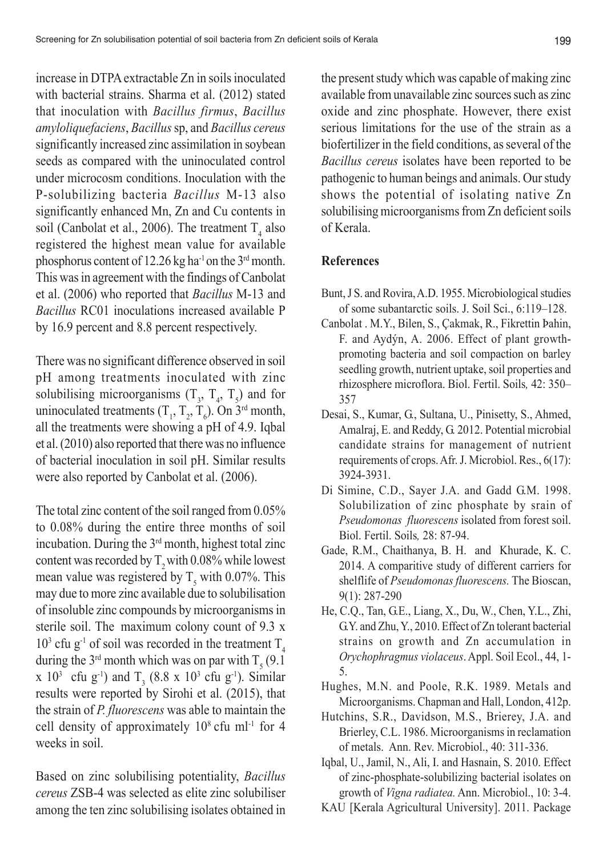increase in DTPA extractable Zn in soils inoculated with bacterial strains. Sharma et al. (2012) stated that inoculation with *Bacillus firmus*, *Bacillus amyloliquefaciens*, *Bacillus* sp, and *Bacillus cereus* significantly increased zinc assimilation in soybean seeds as compared with the uninoculated control under microcosm conditions. Inoculation with the P-solubilizing bacteria *Bacillus* M-13 also significantly enhanced Mn, Zn and Cu contents in soil (Canbolat et al., 2006). The treatment  $T_4$  also registered the highest mean value for available phosphorus content of 12.26 kg ha<sup>-1</sup> on the  $3<sup>rd</sup>$  month. This was in agreement with the findings of Canbolat et al. (2006) who reported that *Bacillus* M-13 and *Bacillus* RC01 inoculations increased available P by 16.9 percent and 8.8 percent respectively.

There was no significant difference observed in soil pH among treatments inoculated with zinc solubilising microorganisms  $(T_3, T_4, T_5)$  and for uninoculated treatments  $(T_1, T_2, T_6)$ . On 3<sup>rd</sup> month, all the treatments were showing a pH of 4.9. Iqbal et al. (2010) also reported that there was no influence of bacterial inoculation in soil pH. Similar results were also reported by Canbolat et al. (2006).

The total zinc content of the soil ranged from 0.05% to 0.08% during the entire three months of soil incubation. During the 3rd month, highest total zinc content was recorded by  $T<sub>2</sub>$  with 0.08% while lowest mean value was registered by  $T_s$  with 0.07%. This may due to more zinc available due to solubilisation of insoluble zinc compounds by microorganisms in sterile soil. The maximum colony count of 9.3 x  $10<sup>3</sup>$  cfu g<sup>-1</sup> of soil was recorded in the treatment T<sub>4</sub> during the 3<sup>rd</sup> month which was on par with  $T_5$  (9.1)  $x \ 10^3 \text{ cftu g}^{-1}$  and  $T_3 (8.8 \text{ x } 10^3 \text{ cftu g}^{-1})$ . Similar results were reported by Sirohi et al. (2015), that the strain of *P. fluorescens* was able to maintain the cell density of approximately  $10^8$  cfu ml<sup>-1</sup> for 4 weeks in soil.

Based on zinc solubilising potentiality, *Bacillus cereus* ZSB-4 was selected as elite zinc solubiliser among the ten zinc solubilising isolates obtained in the present study which was capable of making zinc available from unavailable zinc sources such as zinc oxide and zinc phosphate. However, there exist serious limitations for the use of the strain as a biofertilizer in the field conditions, as several of the *Bacillus cereus* isolates have been reported to be pathogenic to human beings and animals. Our study shows the potential of isolating native Zn solubilising microorganisms from Zn deficient soils of Kerala.

#### **References**

- Bunt, J S. and Rovira, A.D. 1955. Microbiological studies of some subantarctic soils. J. Soil Sci., 6:119–128.
- Canbolat . M.Y., Bilen, S., Çakmak, R., Fikrettin Þahin, F. and Aydýn, A. 2006. Effect of plant growthpromoting bacteria and soil compaction on barley seedling growth, nutrient uptake, soil properties and rhizosphere microflora. Biol. Fertil. Soils*,* 42: 350– 357
- Desai, S., Kumar, G., Sultana, U., Pinisetty, S., Ahmed, Amalraj, E. and Reddy, G. 2012. Potential microbial candidate strains for management of nutrient requirements of crops. Afr. J. Microbiol. Res., 6(17): 3924-3931.
- Di Simine, C.D., Sayer J.A. and Gadd G.M. 1998. Solubilization of zinc phosphate by srain of *Pseudomonas fluorescens* isolated from forest soil. Biol. Fertil. Soils*,* 28: 87-94.
- Gade, R.M., Chaithanya, B. H. and Khurade, K. C. 2014. A comparitive study of different carriers for shelflife of *Pseudomonas fluorescens.* The Bioscan, 9(1): 287-290
- He, C.Q., Tan, G.E., Liang, X., Du, W., Chen, Y.L., Zhi, G.Y. and Zhu, Y., 2010. Effect of Zn tolerant bacterial strains on growth and Zn accumulation in *Orychophragmus violaceus*. Appl. Soil Ecol., 44, 1- 5.
- Hughes, M.N. and Poole, R.K. 1989. Metals and Microorganisms. Chapman and Hall, London, 412p.
- Hutchins, S.R., Davidson, M.S., Brierey, J.A. and Brierley, C.L. 1986. Microorganisms in reclamation of metals. Ann. Rev. Microbiol., 40: 311-336.
- Iqbal, U., Jamil, N., Ali, I. and Hasnain, S. 2010. Effect of zinc-phosphate-solubilizing bacterial isolates on growth of *Vigna radiatea.* Ann. Microbiol., 10: 3-4.
- KAU [Kerala Agricultural University]. 2011. Package